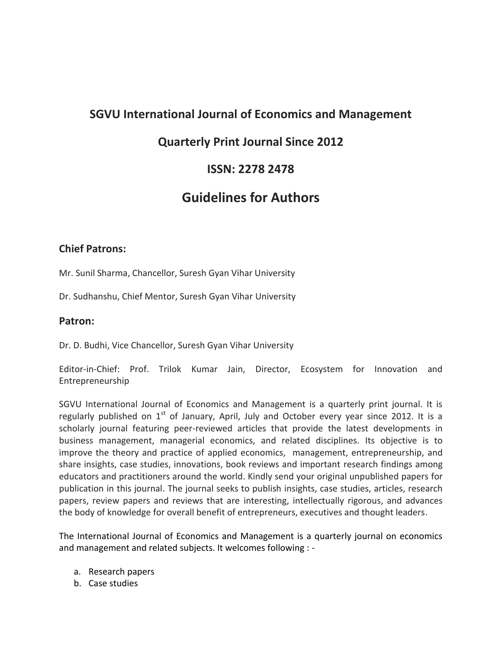## **SGVU International Journal of Economics and Management**

## **Quarterly Print Journal Since 2012**

## **ISSN: 2278 2478**

# **Guidelines for Authors**

### **Chief Patrons:**

Mr. Sunil Sharma, Chancellor, Suresh Gyan Vihar University

Dr. Sudhanshu, Chief Mentor, Suresh Gyan Vihar University

### **Patron:**

Dr. D. Budhi, Vice Chancellor, Suresh Gyan Vihar University

Editor-in-Chief: Prof. Trilok Kumar Jain, Director, Ecosystem for Innovation and Entrepreneurship

SGVU International Journal of Economics and Management is a quarterly print journal. It is regularly published on  $1<sup>st</sup>$  of January, April, July and October every year since 2012. It is a scholarly journal featuring peer-reviewed articles that provide the latest developments in business management, managerial economics, and related disciplines. Its objective is to improve the theory and practice of applied economics, management, entrepreneurship, and share insights, case studies, innovations, book reviews and important research findings among educators and practitioners around the world. Kindly send your original unpublished papers for publication in this journal. The journal seeks to publish insights, case studies, articles, research papers, review papers and reviews that are interesting, intellectually rigorous, and advances the body of knowledge for overall benefit of entrepreneurs, executives and thought leaders.

The International Journal of Economics and Management is a quarterly journal on economics and management and related subjects. It welcomes following : -

- a. Research papers
- b. Case studies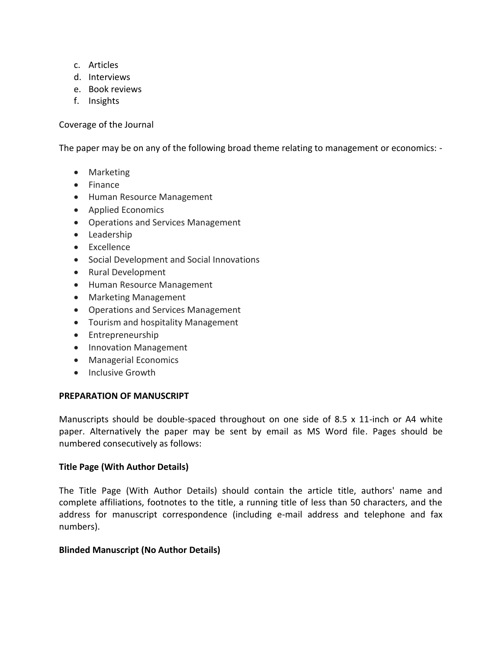- c. Articles
- d. Interviews
- e. Book reviews
- f. Insights

Coverage of the Journal

The paper may be on any of the following broad theme relating to management or economics: -

- Marketing
- Finance
- Human Resource Management
- Applied Economics
- Operations and Services Management
- Leadership
- Excellence
- Social Development and Social Innovations
- Rural Development
- Human Resource Management
- Marketing Management
- Operations and Services Management
- Tourism and hospitality Management
- Entrepreneurship
- Innovation Management
- Managerial Economics
- **•** Inclusive Growth

#### **PREPARATION OF MANUSCRIPT**

Manuscripts should be double-spaced throughout on one side of 8.5 x 11-inch or A4 white paper. Alternatively the paper may be sent by email as MS Word file. Pages should be numbered consecutively as follows:

#### **Title Page (With Author Details)**

The Title Page (With Author Details) should contain the article title, authors' name and complete affiliations, footnotes to the title, a running title of less than 50 characters, and the address for manuscript correspondence (including e-mail address and telephone and fax numbers).

#### **Blinded Manuscript (No Author Details)**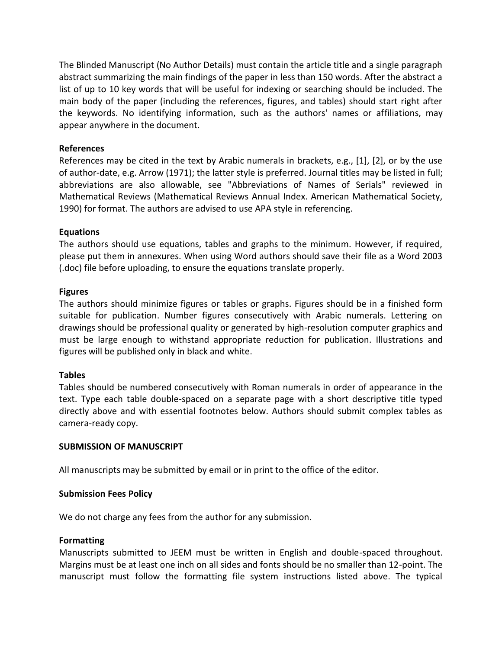The Blinded Manuscript (No Author Details) must contain the article title and a single paragraph abstract summarizing the main findings of the paper in less than 150 words. After the abstract a list of up to 10 key words that will be useful for indexing or searching should be included. The main body of the paper (including the references, figures, and tables) should start right after the keywords. No identifying information, such as the authors' names or affiliations, may appear anywhere in the document.

#### **References**

References may be cited in the text by Arabic numerals in brackets, e.g., [1], [2], or by the use of author-date, e.g. Arrow (1971); the latter style is preferred. Journal titles may be listed in full; abbreviations are also allowable, see "Abbreviations of Names of Serials" reviewed in Mathematical Reviews (Mathematical Reviews Annual Index. American Mathematical Society, 1990) for format. The authors are advised to use APA style in referencing.

#### **Equations**

The authors should use equations, tables and graphs to the minimum. However, if required, please put them in annexures. When using Word authors should save their file as a Word 2003 (.doc) file before uploading, to ensure the equations translate properly.

#### **Figures**

The authors should minimize figures or tables or graphs. Figures should be in a finished form suitable for publication. Number figures consecutively with Arabic numerals. Lettering on drawings should be professional quality or generated by high-resolution computer graphics and must be large enough to withstand appropriate reduction for publication. Illustrations and figures will be published only in black and white.

#### **Tables**

Tables should be numbered consecutively with Roman numerals in order of appearance in the text. Type each table double-spaced on a separate page with a short descriptive title typed directly above and with essential footnotes below. Authors should submit complex tables as camera-ready copy.

#### **SUBMISSION OF MANUSCRIPT**

All manuscripts may be submitted by email or in print to the office of the editor.

#### **Submission Fees Policy**

We do not charge any fees from the author for any submission.

#### **Formatting**

Manuscripts submitted to JEEM must be written in English and double-spaced throughout. Margins must be at least one inch on all sides and fonts should be no smaller than 12-point. The manuscript must follow the formatting file system instructions listed above. The typical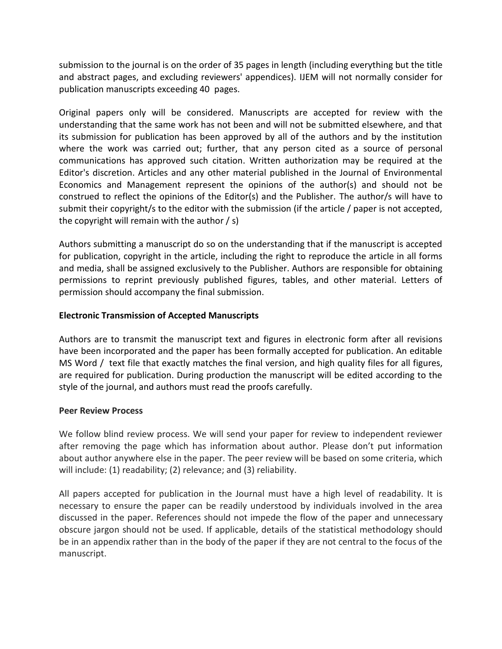submission to the journal is on the order of 35 pages in length (including everything but the title and abstract pages, and excluding reviewers' appendices). IJEM will not normally consider for publication manuscripts exceeding 40 pages.

Original papers only will be considered. Manuscripts are accepted for review with the understanding that the same work has not been and will not be submitted elsewhere, and that its submission for publication has been approved by all of the authors and by the institution where the work was carried out; further, that any person cited as a source of personal communications has approved such citation. Written authorization may be required at the Editor's discretion. Articles and any other material published in the Journal of Environmental Economics and Management represent the opinions of the author(s) and should not be construed to reflect the opinions of the Editor(s) and the Publisher. The author/s will have to submit their copyright/s to the editor with the submission (if the article / paper is not accepted, the copyright will remain with the author / s)

Authors submitting a manuscript do so on the understanding that if the manuscript is accepted for publication, copyright in the article, including the right to reproduce the article in all forms and media, shall be assigned exclusively to the Publisher. Authors are responsible for obtaining permissions to reprint previously published figures, tables, and other material. Letters of permission should accompany the final submission.

#### **Electronic Transmission of Accepted Manuscripts**

Authors are to transmit the manuscript text and figures in electronic form after all revisions have been incorporated and the paper has been formally accepted for publication. An editable MS Word / text file that exactly matches the final version, and high quality files for all figures, are required for publication. During production the manuscript will be edited according to the style of the journal, and authors must read the proofs carefully.

#### **Peer Review Process**

We follow blind review process. We will send your paper for review to independent reviewer after removing the page which has information about author. Please don't put information about author anywhere else in the paper. The peer review will be based on some criteria, which will include: (1) readability; (2) relevance; and (3) reliability.

All papers accepted for publication in the Journal must have a high level of readability. It is necessary to ensure the paper can be readily understood by individuals involved in the area discussed in the paper. References should not impede the flow of the paper and unnecessary obscure jargon should not be used. If applicable, details of the statistical methodology should be in an appendix rather than in the body of the paper if they are not central to the focus of the manuscript.